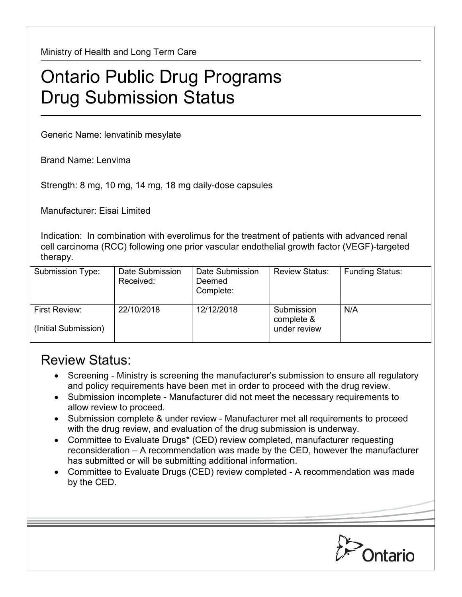Ministry of Health and Long Term Care

## Ontario Public Drug Programs Drug Submission Status

Generic Name: lenvatinib mesylate

Brand Name: Lenvima

Strength: 8 mg, 10 mg, 14 mg, 18 mg daily-dose capsules

Manufacturer: Eisai Limited

Indication: In combination with everolimus for the treatment of patients with advanced renal cell carcinoma (RCC) following one prior vascular endothelial growth factor (VEGF)-targeted therapy.

| Submission Type:                      | Date Submission<br>Received: | Date Submission<br>Deemed<br>Complete: | <b>Review Status:</b>                    | <b>Funding Status:</b> |
|---------------------------------------|------------------------------|----------------------------------------|------------------------------------------|------------------------|
| First Review:<br>(Initial Submission) | 22/10/2018                   | 12/12/2018                             | Submission<br>complete &<br>under review | N/A                    |

## Review Status:

- Screening Ministry is screening the manufacturer's submission to ensure all regulatory and policy requirements have been met in order to proceed with the drug review.
- Submission incomplete Manufacturer did not meet the necessary requirements to allow review to proceed.
- Submission complete & under review Manufacturer met all requirements to proceed with the drug review, and evaluation of the drug submission is underway.
- Committee to Evaluate Drugs\* (CED) review completed, manufacturer requesting reconsideration – A recommendation was made by the CED, however the manufacturer has submitted or will be submitting additional information.
- Committee to Evaluate Drugs (CED) review completed A recommendation was made by the CED.